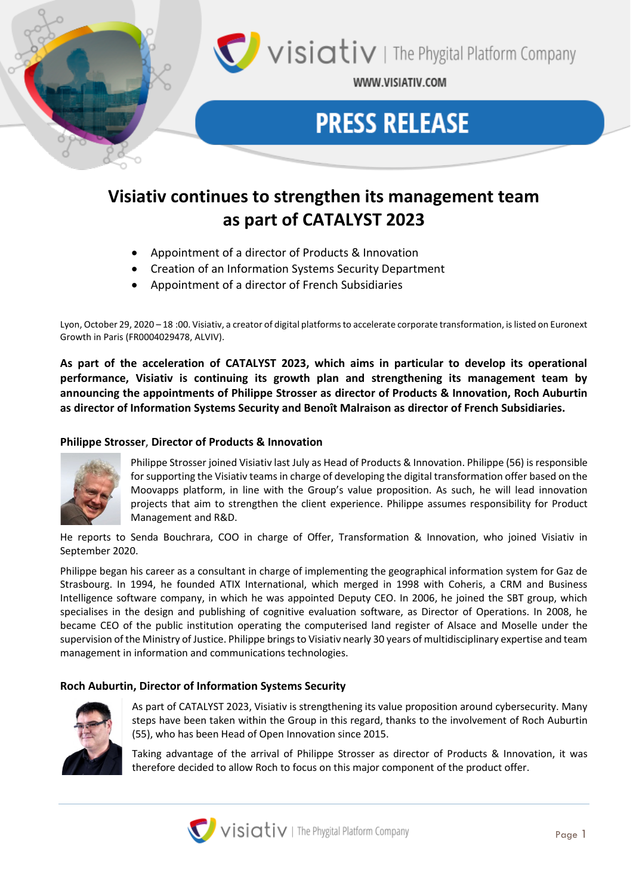

WWW.VISIATIV.COM

# **PRESS RELEASE**

# **Visiativ continues to strengthen its management team as part of CATALYST 2023**

- Appointment of a director of Products & Innovation
- Creation of an Information Systems Security Department
- Appointment of a director of French Subsidiaries

Lyon, October 29, 2020 – 18 :00. Visiativ, a creator of digital platforms to accelerate corporate transformation, is listed on Euronext Growth in Paris (FR0004029478, ALVIV).

**As part of the acceleration of CATALYST 2023, which aims in particular to develop its operational performance, Visiativ is continuing its growth plan and strengthening its management team by announcing the appointments of Philippe Strosser as director of Products & Innovation, Roch Auburtin as director of Information Systems Security and Benoît Malraison as director of French Subsidiaries.**

## **Philippe Strosser**, **Director of Products & Innovation**



Philippe Strosser joined Visiativ last July as Head of Products & Innovation. Philippe (56) is responsible for supporting the Visiativ teams in charge of developing the digital transformation offer based on the Moovapps platform, in line with the Group's value proposition. As such, he will lead innovation projects that aim to strengthen the client experience. Philippe assumes responsibility for Product Management and R&D.

He reports to Senda Bouchrara, COO in charge of Offer, Transformation & Innovation, who joined Visiativ in September 2020.

Philippe began his career as a consultant in charge of implementing the geographical information system for Gaz de Strasbourg. In 1994, he founded ATIX International, which merged in 1998 with Coheris, a CRM and Business Intelligence software company, in which he was appointed Deputy CEO. In 2006, he joined the SBT group, which specialises in the design and publishing of cognitive evaluation software, as Director of Operations. In 2008, he became CEO of the public institution operating the computerised land register of Alsace and Moselle under the supervision of the Ministry of Justice. Philippe brings to Visiativ nearly 30 years of multidisciplinary expertise and team management in information and communications technologies.

### **Roch Auburtin, Director of Information Systems Security**



As part of CATALYST 2023, Visiativ is strengthening its value proposition around cybersecurity. Many steps have been taken within the Group in this regard, thanks to the involvement of Roch Auburtin (55), who has been Head of Open Innovation since 2015.

Taking advantage of the arrival of Philippe Strosser as director of Products & Innovation, it was therefore decided to allow Roch to focus on this major component of the product offer.